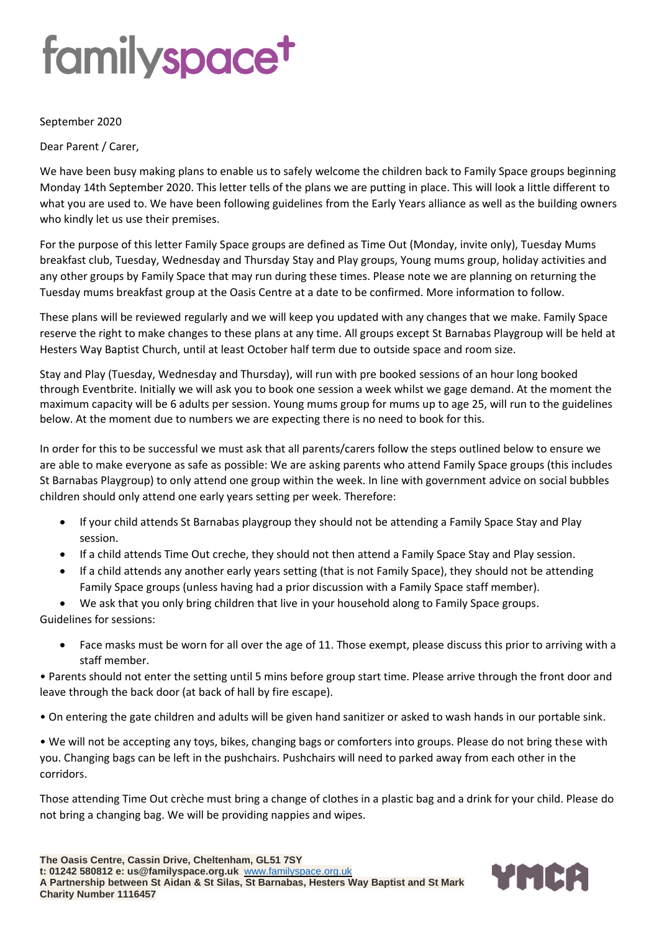# familyspace<sup>t</sup>

#### September 2020

Dear Parent / Carer,

We have been busy making plans to enable us to safely welcome the children back to Family Space groups beginning Monday 14th September 2020. This letter tells of the plans we are putting in place. This will look a little different to what you are used to. We have been following guidelines from the Early Years alliance as well as the building owners who kindly let us use their premises.

For the purpose of this letter Family Space groups are defined as Time Out (Monday, invite only), Tuesday Mums breakfast club, Tuesday, Wednesday and Thursday Stay and Play groups, Young mums group, holiday activities and any other groups by Family Space that may run during these times. Please note we are planning on returning the Tuesday mums breakfast group at the Oasis Centre at a date to be confirmed. More information to follow.

These plans will be reviewed regularly and we will keep you updated with any changes that we make. Family Space reserve the right to make changes to these plans at any time. All groups except St Barnabas Playgroup will be held at Hesters Way Baptist Church, until at least October half term due to outside space and room size.

Stay and Play (Tuesday, Wednesday and Thursday), will run with pre booked sessions of an hour long booked through Eventbrite. Initially we will ask you to book one session a week whilst we gage demand. At the moment the maximum capacity will be 6 adults per session. Young mums group for mums up to age 25, will run to the guidelines below. At the moment due to numbers we are expecting there is no need to book for this.

In order for this to be successful we must ask that all parents/carers follow the steps outlined below to ensure we are able to make everyone as safe as possible: We are asking parents who attend Family Space groups (this includes St Barnabas Playgroup) to only attend one group within the week. In line with government advice on social bubbles children should only attend one early years setting per week. Therefore:

- If your child attends St Barnabas playgroup they should not be attending a Family Space Stay and Play session.
- If a child attends Time Out creche, they should not then attend a Family Space Stay and Play session.
- If a child attends any another early years setting (that is not Family Space), they should not be attending Family Space groups (unless having had a prior discussion with a Family Space staff member).
- We ask that you only bring children that live in your household along to Family Space groups.

Guidelines for sessions:

• Face masks must be worn for all over the age of 11. Those exempt, please discuss this prior to arriving with a staff member.

• Parents should not enter the setting until 5 mins before group start time. Please arrive through the front door and leave through the back door (at back of hall by fire escape).

• On entering the gate children and adults will be given hand sanitizer or asked to wash hands in our portable sink.

• We will not be accepting any toys, bikes, changing bags or comforters into groups. Please do not bring these with you. Changing bags can be left in the pushchairs. Pushchairs will need to parked away from each other in the corridors.

Those attending Time Out crèche must bring a change of clothes in a plastic bag and a drink for your child. Please do not bring a changing bag. We will be providing nappies and wipes.

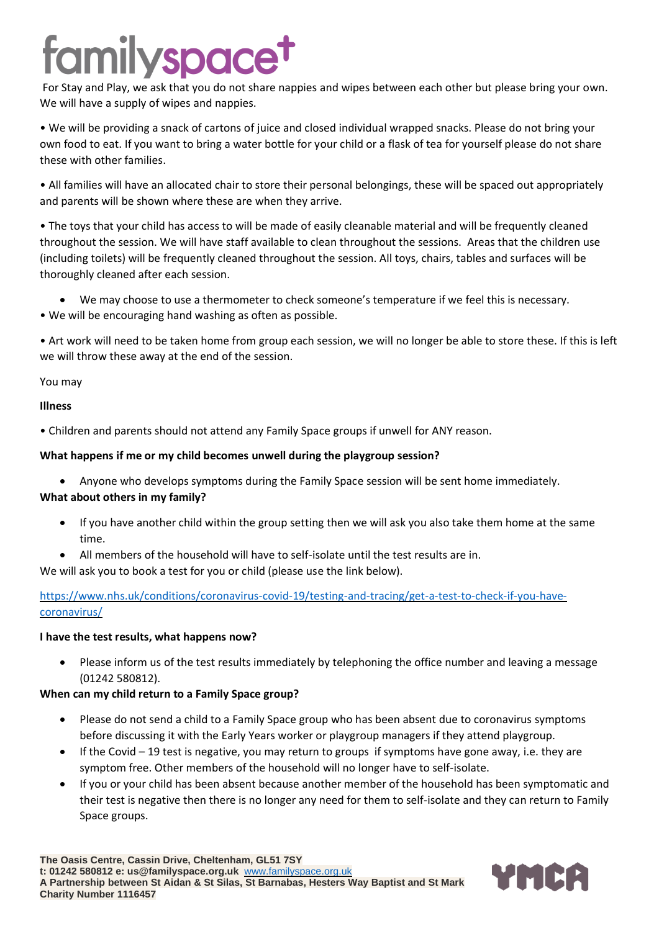# amilyspace<sup>t</sup>

For Stay and Play, we ask that you do not share nappies and wipes between each other but please bring your own. We will have a supply of wipes and nappies.

• We will be providing a snack of cartons of juice and closed individual wrapped snacks. Please do not bring your own food to eat. If you want to bring a water bottle for your child or a flask of tea for yourself please do not share these with other families.

• All families will have an allocated chair to store their personal belongings, these will be spaced out appropriately and parents will be shown where these are when they arrive.

• The toys that your child has access to will be made of easily cleanable material and will be frequently cleaned throughout the session. We will have staff available to clean throughout the sessions. Areas that the children use (including toilets) will be frequently cleaned throughout the session. All toys, chairs, tables and surfaces will be thoroughly cleaned after each session.

- We may choose to use a thermometer to check someone's temperature if we feel this is necessary.
- We will be encouraging hand washing as often as possible.

• Art work will need to be taken home from group each session, we will no longer be able to store these. If this is left we will throw these away at the end of the session.

### You may

### **Illness**

• Children and parents should not attend any Family Space groups if unwell for ANY reason.

### **What happens if me or my child becomes unwell during the playgroup session?**

• Anyone who develops symptoms during the Family Space session will be sent home immediately.

### **What about others in my family?**

- If you have another child within the group setting then we will ask you also take them home at the same time.
- All members of the household will have to self-isolate until the test results are in.

We will ask you to book a test for you or child (please use the link below).

[https://www.nhs.uk/conditions/coronavirus-covid-19/testing-and-tracing/get-a-test-to-check-if-you-have](https://www.nhs.uk/conditions/coronavirus-covid-19/testing-and-tracing/get-a-test-to-check-if-you-have-coronavirus/)[coronavirus/](https://www.nhs.uk/conditions/coronavirus-covid-19/testing-and-tracing/get-a-test-to-check-if-you-have-coronavirus/)

### **I have the test results, what happens now?**

• Please inform us of the test results immediately by telephoning the office number and leaving a message (01242 580812).

### **When can my child return to a Family Space group?**

- Please do not send a child to a Family Space group who has been absent due to coronavirus symptoms before discussing it with the Early Years worker or playgroup managers if they attend playgroup.
- If the Covid 19 test is negative, you may return to groups if symptoms have gone away, i.e. they are symptom free. Other members of the household will no longer have to self-isolate.
- If you or your child has been absent because another member of the household has been symptomatic and their test is negative then there is no longer any need for them to self-isolate and they can return to Family Space groups.

**The Oasis Centre, Cassin Drive, Cheltenham, GL51 7SY t: 01242 580812 e: us@familyspace.org.uk** [www.familyspace.org.uk](http://www.familyspace.org.uk/) **A Partnership between St Aidan & St Silas, St Barnabas, Hesters Way Baptist and St Mark Charity Number 1116457**